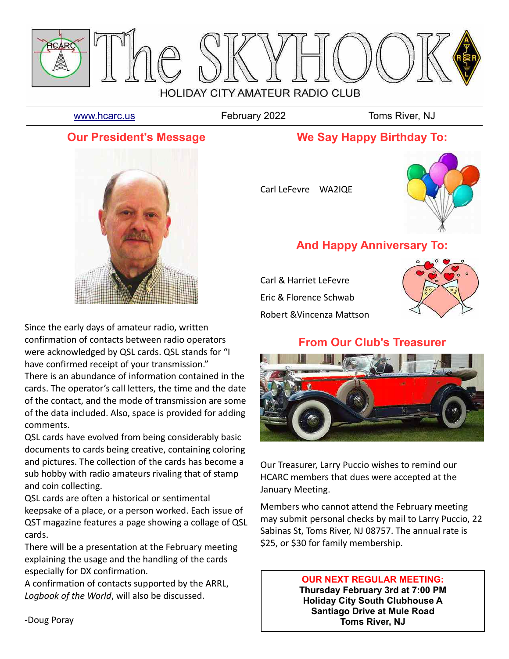

[www.hcarc.us](http://www.hcarc.us/) **February 2022** Toms River, NJ

## **Our President's Message**

## **We Say Happy Birthday To:**





# **And Happy Anniversary To:**

Carl & Harriet LeFevre Eric & Florence Schwab Robert &Vincenza Mattson



## **From Our Club's Treasurer**



Our Treasurer, Larry Puccio wishes to remind our HCARC members that dues were accepted at the January Meeting.

Members who cannot attend the February meeting may submit personal checks by mail to Larry Puccio, 22 Sabinas St, Toms River, NJ 08757. The annual rate is \$25, or \$30 for family membership.

#### **OUR NEXT REGULAR MEETING: Thursday February 3rd at 7:00 PM**

**Holiday City South Clubhouse A Santiago Drive at Mule Road Toms River, NJ**



Since the early days of amateur radio, written confirmation of contacts between radio operators were acknowledged by QSL cards. QSL stands for "I have confirmed receipt of your transmission."

There is an abundance of information contained in the cards. The operator's call letters, the time and the date of the contact, and the mode of transmission are some of the data included. Also, space is provided for adding comments.

QSL cards have evolved from being considerably basic documents to cards being creative, containing coloring and pictures. The collection of the cards has become a sub hobby with radio amateurs rivaling that of stamp and coin collecting.

QSL cards are often a historical or sentimental keepsake of a place, or a person worked. Each issue of QST magazine features a page showing a collage of QSL cards.

There will be a presentation at the February meeting explaining the usage and the handling of the cards especially for DX confirmation.

A confirmation of contacts supported by the ARRL, *Logbook of the World*, will also be discussed.

-Doug Poray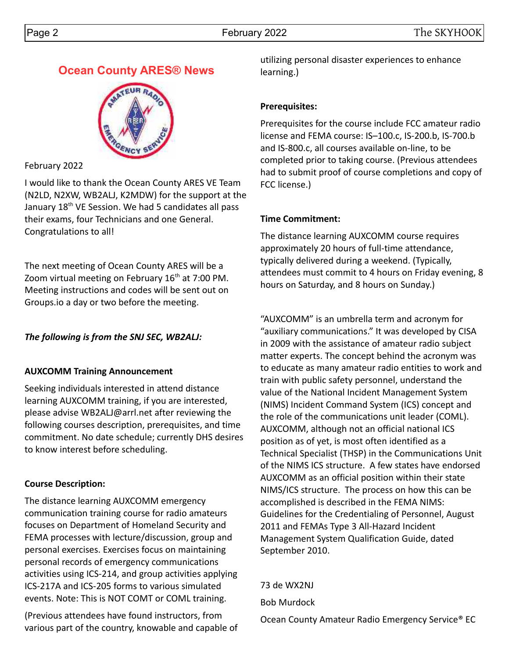# **Ocean County ARES® News**



February 2022

I would like to thank the Ocean County ARES VE Team (N2LD, N2XW, WB2ALJ, K2MDW) for the support at the January 18th VE Session. We had 5 candidates all pass their exams, four Technicians and one General. Congratulations to all!

The next meeting of Ocean County ARES will be a Zoom virtual meeting on February  $16<sup>th</sup>$  at 7:00 PM. Meeting instructions and codes will be sent out on Groups.io a day or two before the meeting.

## *The following is from the SNJ SEC, WB2ALJ:*

### **AUXCOMM Training Announcement**

Seeking individuals interested in attend distance learning AUXCOMM training, if you are interested, please advise WB2ALJ@arrl.net after reviewing the following courses description, prerequisites, and time commitment. No date schedule; currently DHS desires to know interest before scheduling.

### **Course Description:**

The distance learning AUXCOMM emergency communication training course for radio amateurs focuses on Department of Homeland Security and FEMA processes with lecture/discussion, group and personal exercises. Exercises focus on maintaining personal records of emergency communications activities using ICS-214, and group activities applying ICS-217A and ICS-205 forms to various simulated events. Note: This is NOT COMT or COML training.

(Previous attendees have found instructors, from various part of the country, knowable and capable of utilizing personal disaster experiences to enhance learning.)

### **Prerequisites:**

Prerequisites for the course include FCC amateur radio license and FEMA course: IS–100.c, IS-200.b, IS-700.b and IS-800.c, all courses available on-line, to be completed prior to taking course. (Previous attendees had to submit proof of course completions and copy of FCC license.)

### **Time Commitment:**

The distance learning AUXCOMM course requires approximately 20 hours of full-time attendance, typically delivered during a weekend. (Typically, attendees must commit to 4 hours on Friday evening, 8 hours on Saturday, and 8 hours on Sunday.)

"AUXCOMM" is an umbrella term and acronym for "auxiliary communications." It was developed by CISA in 2009 with the assistance of amateur radio subject matter experts. The concept behind the acronym was to educate as many amateur radio entities to work and train with public safety personnel, understand the value of the National Incident Management System (NIMS) Incident Command System (ICS) concept and the role of the communications unit leader (COML). AUXCOMM, although not an official national ICS position as of yet, is most often identified as a Technical Specialist (THSP) in the Communications Unit of the NIMS ICS structure. A few states have endorsed AUXCOMM as an official position within their state NIMS/ICS structure. The process on how this can be accomplished is described in the FEMA NIMS: Guidelines for the Credentialing of Personnel, August 2011 and FEMAs Type 3 All-Hazard Incident Management System Qualification Guide, dated September 2010.

73 de WX2NJ Bob Murdock

Ocean County Amateur Radio Emergency Service® EC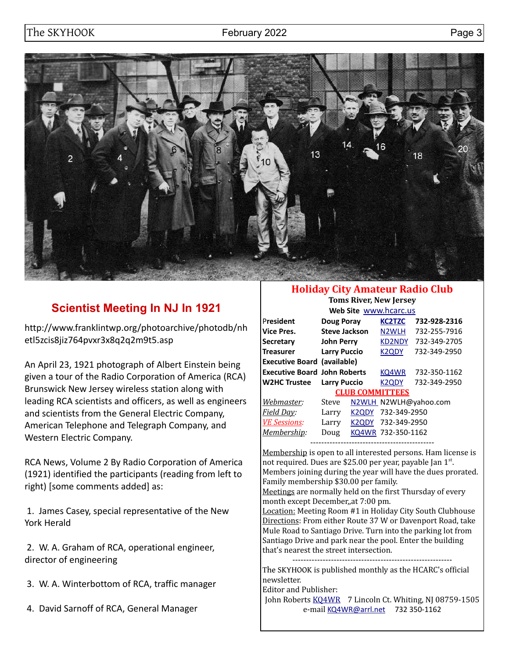

# **Scientist Meeting In NJ In 1921**

http://www.franklintwp.org/photoarchive/photodb/nh etl5zcis8jiz764pvxr3x8q2q2m9t5.asp

An April 23, 1921 photograph of Albert Einstein being given a tour of the Radio Corporation of America (RCA) Brunswick New Jersey wireless station along with leading RCA scientists and officers, as well as engineers and scientists from the General Electric Company, American Telephone and Telegraph Company, and Western Electric Company.

RCA News, Volume 2 By Radio Corporation of America (1921) identified the participants (reading from left to right) [some comments added] as:

 1. James Casey, special representative of the New York Herald

 2. W. A. Graham of RCA, operational engineer, director of engineering

- 3. W. A. Winterbottom of RCA, traffic manager
- 4. David Sarnoff of RCA, General Manager

### **Holiday City Amateur Radio Club**

**Toms River, New Jersey Web Site** [www.hcarc.us](http://www.hcarc.us/)

|                                     |                      |                    | <b>VVCD SILE WWW.IICOIC.US</b> |                       |
|-------------------------------------|----------------------|--------------------|--------------------------------|-----------------------|
| President                           | <b>Doug Poray</b>    |                    | <b>KC2TZC</b>                  | 732-928-2316          |
| Vice Pres.                          | <b>Steve Jackson</b> |                    | N <sub>2</sub> WLH             | 732-255-7916          |
| Secretary                           | <b>John Perry</b>    |                    | <b>KD2NDY</b>                  | 732-349-2705          |
| Treasurer                           | <b>Larry Puccio</b>  |                    | <b>K2QDY</b>                   | 732-349-2950          |
| <b>Executive Board (available)</b>  |                      |                    |                                |                       |
| <b>Executive Board John Roberts</b> |                      |                    | KQ4WR                          | 732-350-1162          |
| <b>W2HC Trustee</b>                 | <b>Larry Puccio</b>  |                    | K <sub>2</sub> ODY             | 732-349-2950          |
|                                     |                      |                    | <b>CLUB COMMITTEES</b>         |                       |
| Webmaster:                          | Steve                |                    |                                | N2WLH_N2WLH@yahoo.com |
| <u>Field Day:</u>                   | Larry                | K <sub>2</sub> ODY | 732-349-2950                   |                       |
| <b>VE Sessions:</b>                 | Larry                | K <sub>2</sub> ODY | 732-349-2950                   |                       |
| <u> Membership</u> :                | Doug                 |                    | KQ4WR 732-350-1162             |                       |
|                                     |                      |                    |                                |                       |

Membership is open to all interested persons. Ham license is not required. Dues are \$25.00 per year, payable Jan 1st. Members joining during the year will have the dues prorated. Family membership \$30.00 per family.

Meetings are normally held on the first Thursday of every month except December,,at 7:00 pm.

Location: Meeting Room #1 in Holiday City South Clubhouse Directions: From either Route 37 W or Davenport Road, take Mule Road to Santiago Drive. Turn into the parking lot from Santiago Drive and park near the pool. Enter the building that's nearest the street intersection.

The SKYHOOK is published monthly as the HCARC's official newsletter.

Editor and Publisher:

John Roberts [KQ4WR](mailto:kq4wr@arrl.net) 7 Lincoln Ct. Whiting, NJ 08759-1505 e-mail [KQ4WR@arrl.net](mailto:KQ4WR@arrl.net) 732 350-1162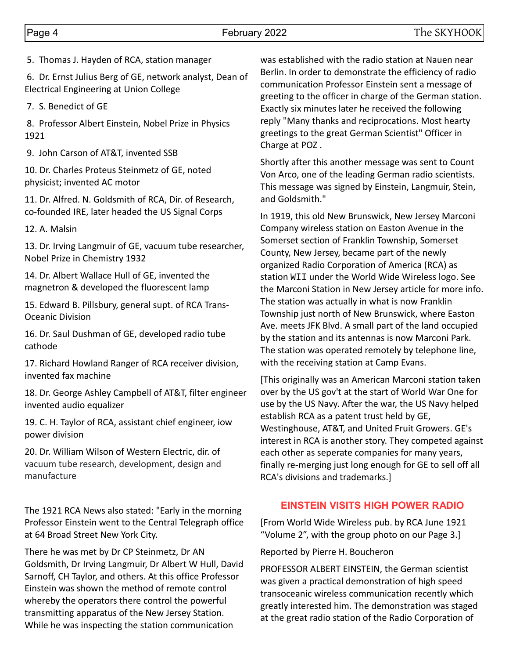5. Thomas J. Hayden of RCA, station manager

 6. Dr. Ernst Julius Berg of GE, network analyst, Dean of Electrical Engineering at Union College

7. S. Benedict of GE

 8. Professor Albert Einstein, Nobel Prize in Physics 1921

9. John Carson of AT&T, invented SSB

10. Dr. Charles Proteus Steinmetz of GE, noted physicist; invented AC motor

11. Dr. Alfred. N. Goldsmith of RCA, Dir. of Research, co-founded IRE, later headed the US Signal Corps

12. A. Malsin

13. Dr. Irving Langmuir of GE, vacuum tube researcher, Nobel Prize in Chemistry 1932

14. Dr. Albert Wallace Hull of GE, invented the magnetron & developed the fluorescent lamp

15. Edward B. Pillsbury, general supt. of RCA Trans-Oceanic Division

16. Dr. Saul Dushman of GE, developed radio tube cathode

17. Richard Howland Ranger of RCA receiver division, invented fax machine

18. Dr. George Ashley Campbell of AT&T, filter engineer invented audio equalizer

19. C. H. Taylor of RCA, assistant chief engineer, iow power division

20. Dr. William Wilson of Western Electric, dir. of vacuum tube research, development, design and manufacture

The 1921 RCA News also stated: "Early in the morning Professor Einstein went to the Central Telegraph office at 64 Broad Street New York City.

There he was met by Dr CP Steinmetz, Dr AN Goldsmith, Dr Irving Langmuir, Dr Albert W Hull, David Sarnoff, CH Taylor, and others. At this office Professor Einstein was shown the method of remote control whereby the operators there control the powerful transmitting apparatus of the New Jersey Station. While he was inspecting the station communication

was established with the radio station at Nauen near Berlin. In order to demonstrate the efficiency of radio communication Professor Einstein sent a message of greeting to the officer in charge of the German station. Exactly six minutes later he received the following reply "Many thanks and reciprocations. Most hearty greetings to the great German Scientist" Officer in Charge at POZ .

Shortly after this another message was sent to Count Von Arco, one of the leading German radio scientists. This message was signed by Einstein, Langmuir, Stein, and Goldsmith."

In 1919, this old New Brunswick, New Jersey Marconi Company wireless station on Easton Avenue in the Somerset section of Franklin Township, Somerset County, New Jersey, became part of the newly organized Radio Corporation of America (RCA) as station WII under the World Wide Wireless logo. See the Marconi Station in New Jersey article for more info. The station was actually in what is now Franklin Township just north of New Brunswick, where Easton Ave. meets JFK Blvd. A small part of the land occupied by the station and its antennas is now Marconi Park. The station was operated remotely by telephone line, with the receiving station at Camp Evans.

[This originally was an American Marconi station taken over by the US gov't at the start of World War One for use by the US Navy. After the war, the US Navy helped establish RCA as a patent trust held by GE, Westinghouse, AT&T, and United Fruit Growers. GE's interest in RCA is another story. They competed against each other as seperate companies for many years, finally re-merging just long enough for GE to sell off all RCA's divisions and trademarks.]

#### **EINSTEIN VISITS HIGH POWER RADIO**

[From World Wide Wireless pub. by RCA June 1921 "Volume 2", with the group photo on our Page 3.]

Reported by Pierre H. Boucheron

PROFESSOR ALBERT EINSTEIN, the German scientist was given a practical demonstration of high speed transoceanic wireless communication recently which greatly interested him. The demonstration was staged at the great radio station of the Radio Corporation of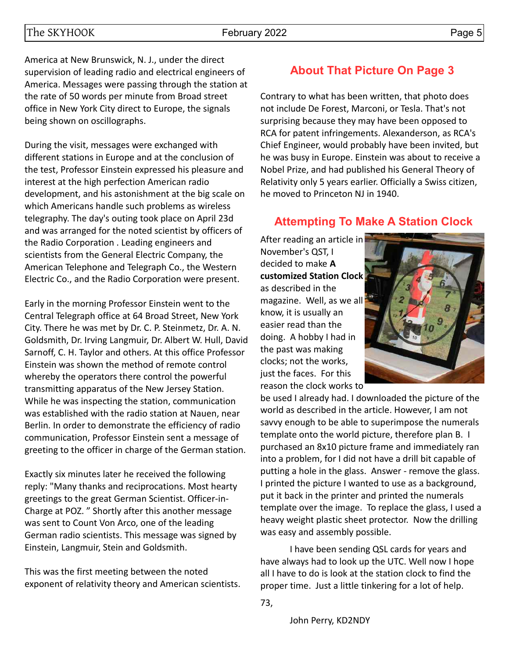America at New Brunswick, N. J., under the direct supervision of leading radio and electrical engineers of America. Messages were passing through the station at the rate of 50 words per minute from Broad street office in New York City direct to Europe, the signals being shown on oscillographs.

During the visit, messages were exchanged with different stations in Europe and at the conclusion of the test, Professor Einstein expressed his pleasure and interest at the high perfection American radio development, and his astonishment at the big scale on which Americans handle such problems as wireless telegraphy. The day's outing took place on April 23d and was arranged for the noted scientist by officers of the Radio Corporation . Leading engineers and scientists from the General Electric Company, the American Telephone and Telegraph Co., the Western Electric Co., and the Radio Corporation were present.

Early in the morning Professor Einstein went to the Central Telegraph office at 64 Broad Street, New York City. There he was met by Dr. C. P. Steinmetz, Dr. A. N. Goldsmith, Dr. Irving Langmuir, Dr. Albert W. Hull, David Sarnoff, C. H. Taylor and others. At this office Professor Einstein was shown the method of remote control whereby the operators there control the powerful transmitting apparatus of the New Jersey Station. While he was inspecting the station, communication was established with the radio station at Nauen, near Berlin. In order to demonstrate the efficiency of radio communication, Professor Einstein sent a message of greeting to the officer in charge of the German station.

Exactly six minutes later he received the following reply: "Many thanks and reciprocations. Most hearty greetings to the great German Scientist. Officer-in-Charge at POZ. " Shortly after this another message was sent to Count Von Arco, one of the leading German radio scientists. This message was signed by Einstein, Langmuir, Stein and Goldsmith.

This was the first meeting between the noted exponent of relativity theory and American scientists.

# **About That Picture On Page 3**

Contrary to what has been written, that photo does not include De Forest, Marconi, or Tesla. That's not surprising because they may have been opposed to RCA for patent infringements. Alexanderson, as RCA's Chief Engineer, would probably have been invited, but he was busy in Europe. Einstein was about to receive a Nobel Prize, and had published his General Theory of Relativity only 5 years earlier. Officially a Swiss citizen, he moved to Princeton NJ in 1940.

## **Attempting To Make A Station Clock**

After reading an article in November's QST, I decided to make **A customized Station Clock** as described in the magazine. Well, as we all know, it is usually an easier read than the doing. A hobby I had in the past was making clocks; not the works, just the faces. For this reason the clock works to



be used I already had. I downloaded the picture of the world as described in the article. However, I am not savvy enough to be able to superimpose the numerals template onto the world picture, therefore plan B. I purchased an 8x10 picture frame and immediately ran into a problem, for I did not have a drill bit capable of putting a hole in the glass. Answer - remove the glass. I printed the picture I wanted to use as a background, put it back in the printer and printed the numerals template over the image. To replace the glass, I used a heavy weight plastic sheet protector. Now the drilling was easy and assembly possible.

I have been sending QSL cards for years and have always had to look up the UTC. Well now I hope all I have to do is look at the station clock to find the proper time. Just a little tinkering for a lot of help.

John Perry, KD2NDY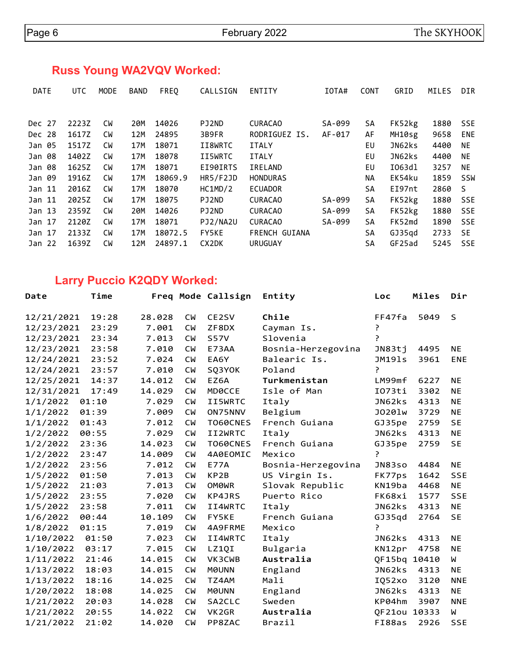# **Russ Young WA2VQV Worked:**

| <b>DATE</b>       | <b>UTC</b> | <b>MODE</b> | <b>BAND</b> | FREQ    | CALLSIGN        | <b>ENTITY</b>        | TOTA#  | <b>CONT</b> | GRID   | MILES | <b>DIR</b> |
|-------------------|------------|-------------|-------------|---------|-----------------|----------------------|--------|-------------|--------|-------|------------|
|                   |            |             |             |         |                 |                      |        |             |        |       |            |
| Dec 27            | 2223Z      | <b>CW</b>   | 20M         | 14026   | PJ2ND           | <b>CURACAO</b>       | SA-099 | SA          | FK52kg | 1880  | <b>SSE</b> |
| Dec 28            | 1617Z      | СW          | 12M         | 24895   | 3B9FR           | RODRIGUEZ IS.        | AF-017 | AF          | MH10sg | 9658  | <b>ENE</b> |
| Jan 05            | 1517Z      | <b>CW</b>   | 17M         | 18071   | II8WRTC         | <b>ITALY</b>         |        | EU          | JN62ks | 4400  | NE.        |
| Jan 08            | 1402Z      | <b>CW</b>   | 17M         | 18078   | II5WRTC         | <b>ITALY</b>         |        | EU          | JN62ks | 4400  | <b>NE</b>  |
| Jan 08            | 1625Z      | <b>CW</b>   | 17M         | 18071   | EI90IRTS        | IRELAND              |        | EU          | I063dl | 3257  | <b>NE</b>  |
| Jan 09            | 1916Z      | <b>CW</b>   | 17M         | 18069.9 | <b>HR5/F2JD</b> | <b>HONDURAS</b>      |        | NA.         | EK54ku | 1859  | <b>SSW</b> |
| Jan 11            | 2016Z      | <b>CW</b>   | 17M         | 18070   | HC1MD/2         | <b>ECUADOR</b>       |        | SΑ          | EI97nt | 2860  | S          |
| Jan 11            | 2025Z      | <b>CW</b>   | 17M         | 18075   | PJ2ND           | <b>CURACAO</b>       | SA-099 | <b>SA</b>   | FK52kg | 1880  | <b>SSE</b> |
| Jan <sub>13</sub> | 2359Z      | <b>CW</b>   | 20M         | 14026   | PJ2ND           | <b>CURACAO</b>       | SA-099 | SA          | FK52kg | 1880  | <b>SSE</b> |
| Jan 17            | 2120Z      | <b>CW</b>   | 17M         | 18071   | PJ2/NA2U        | <b>CURACAO</b>       | SA-099 | <b>SA</b>   | FK52md | 1890  | <b>SSE</b> |
| Jan 17            | 2133Z      | <b>CW</b>   | 17M         | 18072.5 | <b>FY5KE</b>    | <b>FRENCH GUIANA</b> |        | SA          | GJ35qd | 2733  | <b>SE</b>  |
| Jan 22            | 1639Z      | СW          | 12M         | 24897.1 | CX2DK           | <b>URUGUAY</b>       |        | <b>SA</b>   | GF25ad | 5245  | <b>SSE</b> |

# **Larry Puccio K2QDY Worked:**

| Date       | Time  |        |           | Freq Mode Callsign | Entity             | Loc          | Miles | Dir          |
|------------|-------|--------|-----------|--------------------|--------------------|--------------|-------|--------------|
| 12/21/2021 | 19:28 | 28.028 | <b>CW</b> | CE2SV              | Chile              | FF47fa       | 5049  | $\mathsf{S}$ |
| 12/23/2021 | 23:29 | 7.001  | <b>CM</b> | ZF8DX              | Cayman Is.         | ŗ            |       |              |
| 12/23/2021 | 23:34 | 7.013  | <b>CM</b> | <b>S57V</b>        | Slovenia           | P            |       |              |
| 12/23/2021 | 23:58 | 7.010  | <b>CM</b> | E73AA              | Bosnia-Herzegovina | JN83tj       | 4495  | ΝE           |
| 12/24/2021 | 23:52 | 7.024  | <b>CM</b> | EA6Y               | Balearic Is.       | JM191s       | 3961  | ENE          |
| 12/24/2021 | 23:57 | 7.010  | <b>CW</b> | SQ3YOK             | Poland             | P            |       |              |
| 12/25/2021 | 14:37 | 14.012 | <b>CW</b> | EZ6A               | Turkmenistan       | LM99mf       | 6227  | <b>NE</b>    |
| 12/31/2021 | 17:49 | 14.029 | <b>CW</b> | <b>MDØCCE</b>      | Isle of Man        | I073ti       | 3302  | <b>NE</b>    |
| 1/1/2022   | 01:10 | 7.029  | <b>CM</b> | II5WRTC            | Italy              | JN62ks       | 4313  | <b>NE</b>    |
| 1/1/2022   | 01:39 | 7.009  | <b>CM</b> | ON75NNV            | Belgium            | J0201w       | 3729  | <b>NE</b>    |
| 1/1/2022   | 01:43 | 7.012  | <b>CM</b> | T060CNES           | French Guiana      | GJ35pe       | 2759  | <b>SE</b>    |
| 1/2/2022   | 00:55 | 7.029  | <b>CM</b> | II2WRTC            | Italy              | JN62ks       | 4313  | NE.          |
| 1/2/2022   | 23:36 | 14.023 | <b>CW</b> | <b>T060CNES</b>    | French Guiana      | GJ35pe       | 2759  | <b>SE</b>    |
| 1/2/2022   | 23:47 | 14.009 | <b>CM</b> | 4A0EOMIC           | Mexico             | ?            |       |              |
| 1/2/2022   | 23:56 | 7.012  | <b>CW</b> | <b>E77A</b>        | Bosnia-Herzegovina | JN83so       | 4484  | <b>NE</b>    |
| 1/5/2022   | 01:50 | 7.013  | <b>CW</b> | KP <sub>2</sub> B  | US Virgin Is.      | FK77ps       | 1642  | <b>SSE</b>   |
| 1/5/2022   | 21:03 | 7.013  | <b>CM</b> | OM0WR              | Slovak Republic    | KN19ba       | 4468  | <b>NE</b>    |
| 1/5/2022   | 23:55 | 7.020  | <b>CM</b> | KP4JRS             | Puerto Rico        | FK68xi       | 1577  | <b>SSE</b>   |
| 1/5/2022   | 23:58 | 7.011  | <b>CW</b> | II4WRTC            | Italy              | JN62ks       | 4313  | <b>NE</b>    |
| 1/6/2022   | 00:44 | 10.109 | <b>CW</b> | FY5KE              | French Guiana      | GJ35qd       | 2764  | <b>SE</b>    |
| 1/8/2022   | 01:15 | 7.019  | <b>CW</b> | 4A9FRME            | Mexico             | ŗ            |       |              |
| 1/10/2022  | 01:50 | 7.023  | <b>CM</b> | II4WRTC            | Italy              | JN62ks       | 4313  | <b>NE</b>    |
| 1/10/2022  | 03:17 | 7.015  | <b>CW</b> | LZ1QI              | Bulgaria           | KN12pr       | 4758  | <b>NE</b>    |
| 1/11/2022  | 21:46 | 14.015 | <b>CW</b> | VK3CWB             | Australia          | QF15bq       | 10410 | M            |
| 1/13/2022  | 18:03 | 14.015 | <b>CW</b> | <b>MOUNN</b>       | England            | JN62ks       | 4313  | <b>NE</b>    |
| 1/13/2022  | 18:16 | 14.025 | <b>CM</b> | TZ4AM              | Mali               | IQ52xo       | 3120  | <b>NNE</b>   |
| 1/20/2022  | 18:08 | 14.025 | <b>CM</b> | <b>MOUNN</b>       | England            | JN62ks       | 4313  | <b>NE</b>    |
| 1/21/2022  | 20:03 | 14.028 | <b>CW</b> | SA2CLC             | Sweden             | KP04hm       | 3907  | <b>NNE</b>   |
| 1/21/2022  | 20:55 | 14.022 | <b>CM</b> | VK2GR              | Australia          | QF21ou 10333 |       | W            |
| 1/21/2022  | 21:02 | 14.020 | <b>CM</b> | PP8ZAC             | Brazil             | FI88as       | 2926  | <b>SSE</b>   |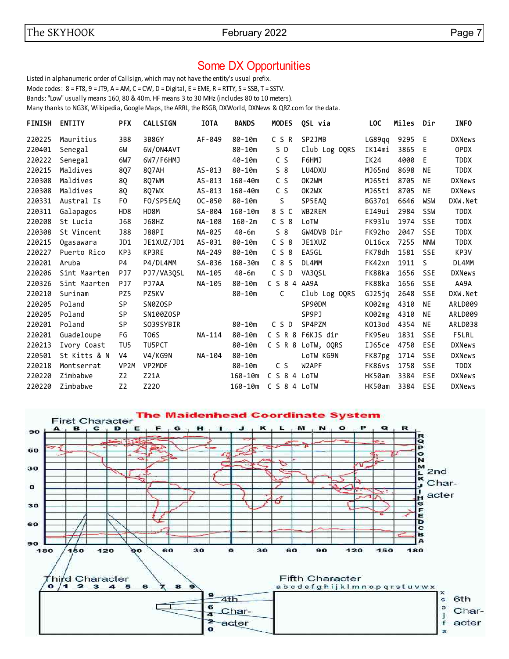## Some DX Opportunities

Listed in alphanumeric order of Callsign, which may not have the entity's usual prefix. Mode codes: 8 = FT8, 9 = JT9, A = AM, C = CW, D = Digital, E = EME, R = RTTY, S = SSB, T = SSTV. Bands: "Low" usually means 160, 80 & 40m. HF means 3 to 30 MHz (includes 80 to 10 meters). Many thanks to NG3K, Wikipedia, Google Maps, the ARRL, the RSGB, DXWorld, DXNews & QRZ.com for the data.

| <b>FINISH</b> | <b>ENTITY</b> | <b>PFX</b>        | <b>CALLSIGN</b> | <b>IOTA</b> | <b>BANDS</b> | <b>MODES</b>     | QSL via           | <b>LOC</b> | Miles | Dir          | <b>INFO</b>   |
|---------------|---------------|-------------------|-----------------|-------------|--------------|------------------|-------------------|------------|-------|--------------|---------------|
| 220225        | Mauritius     | 3B8               | 3B8GY           | AF-049      | 80-10m       | C S R            | SP2JMB            | LG89qq     | 9295  | - E          | <b>DXNews</b> |
| 220401        | Senegal       | 6W                | 6W/ON4AVT       |             | $80 - 10m$   | S D              | Club Log OQRS     | IK14mi     | 3865  | E            | <b>OPDX</b>   |
| 220222        | Senegal       | 6W7               | 6W7/F6HMJ       |             | $40 - 10m$   | C S              | F6HMJ             | IK24       | 4000  | E            | <b>TDDX</b>   |
| 220215        | Maldives      | 8Q7               | 8Q7AH           | $AS-013$    | 80-10m       | 58               | LU4DXU            | MJ65nd     | 8698  | <b>NE</b>    | <b>TDDX</b>   |
| 220308        | Maldives      | 8Q                | 8Q7WM           | AS-013      | $160 - 40m$  | C S              | OK2WM             | MJ65ti     | 8705  | NE           | <b>DXNews</b> |
| 220308        | Maldives      | 8Q                | 807WX           | AS-013      | $160 - 40m$  | C S              | OK2WX             | MJ65ti     | 8705  | <b>NE</b>    | <b>DXNews</b> |
| 220331        | Austral Is    | F0                | FO/SP5EAQ       | $OC - 050$  | 80-10m       | S                | SP5EA0            | BG37oi     | 6646  | WSW          | DXW.Net       |
| 220311        | Galapagos     | HD <sub>8</sub>   | HD8M            | SA-004      | $160 - 10m$  | 8 S C            | WB2REM            | EI49ui     | 2984  | SSW          | <b>TDDX</b>   |
| 220208        | St Lucia      | <b>J68</b>        | <b>J68HZ</b>    | NA-108      | $160 - 2m$   | C <sub>S</sub> 8 | LoTW              | FK931u     | 1974  | <b>SSE</b>   | <b>TDDX</b>   |
| 220308        | St Vincent    | <b>J88</b>        | <b>J88PI</b>    | NA-025      | $40 - 6m$    | $S_8$            | GW4DVB Dir        | FK92ho     | 2047  | <b>SSE</b>   | <b>TDDX</b>   |
| 220215        | Ogasawara     | JD1               | JE1XUZ/JD1      | AS-031      | $80 - 10m$   | C S 8            | JE1XUZ            | OL16cx     | 7255  | <b>NNW</b>   | <b>TDDX</b>   |
| 220227        | Puerto Rico   | KP3               | KP3RE           | NA-249      | $80 - 10m$   | C S 8            | EA5GL             | FK78dh     | 1581  | <b>SSE</b>   | KP3V          |
| 220201        | Aruba         | P <sub>4</sub>    | P4/DL4MM        | SA-036      | $160 - 30m$  | $C_8S$           | DL4MM             | FK42xn     | 1911  | <sub>S</sub> | DL4MM         |
| 220206        | Sint Maarten  | PJ7               | PJ7/VA3QSL      | NA-105      | $40 - 6m$    | CSD              | VA30SL            | FK88ka     | 1656  | <b>SSE</b>   | <b>DXNews</b> |
| 220326        | Sint Maarten  | PJ7               | PJ7AA           | NA-105      | 80-10m       | C S 8 4 AA9A     |                   | FK88ka     | 1656  | <b>SSE</b>   | AA9A          |
| 220210        | Surinam       | PZ5               | PZ5KV           |             | $80 - 10m$   | C                | Club Log OQRS     | GJ25jq     | 2648  | <b>SSE</b>   | DXW.Net       |
| 220205        | Poland        | SP                | SN0ZOSP         |             |              |                  | SP90DM            | K002mg     | 4310  | NE           | ARLD009       |
| 220205        | Poland        | <b>SP</b>         | SN100ZOSP       |             |              |                  | SP9PJ             | K002mg     | 4310  | <b>NE</b>    | ARLD009       |
| 220201        | Poland        | SP                | S039SYBIR       |             | 80-10m       | C S D            | SP4PZM            | K013od     | 4354  | NE           | ARLD038       |
| 220201        | Guadeloupe    | FG                | T06S            | NA-114      | 80-10m       |                  | C S R 8 F6KJS dir | FK95eu     | 1831  | <b>SSE</b>   | F5LRL         |
| 220213        | Ivory Coast   | TU <sub>5</sub>   | TU5PCT          |             | 80-10m       | C S R 8          | LoTW, OQRS        | IJ65ce     | 4750  | <b>ESE</b>   | <b>DXNews</b> |
| 220501        | St Kitts & N  | V <sub>4</sub>    | V4/KG9N         | NA-104      | 80-10m       |                  | LoTW KG9N         | FK87pg     | 1714  | <b>SSE</b>   | <b>DXNews</b> |
| 220218        | Montserrat    | VP <sub>2</sub> M | VP2MDF          |             | 80-10m       | C S              | W2APF             | FK86vs     | 1758  | <b>SSE</b>   | <b>TDDX</b>   |
| 220220        | Zimbabwe      | Z <sub>2</sub>    | <b>Z21A</b>     |             | $160 - 10m$  | C S 8 4 LoTW     |                   | HK50am     | 3384  | <b>ESE</b>   | <b>DXNews</b> |
| 220220        | Zimbabwe      | Z <sub>2</sub>    | Z220            |             | $160 - 10m$  | C S 8 4 LoTW     |                   | HK50am     | 3384  | ESE          | <b>DXNews</b> |